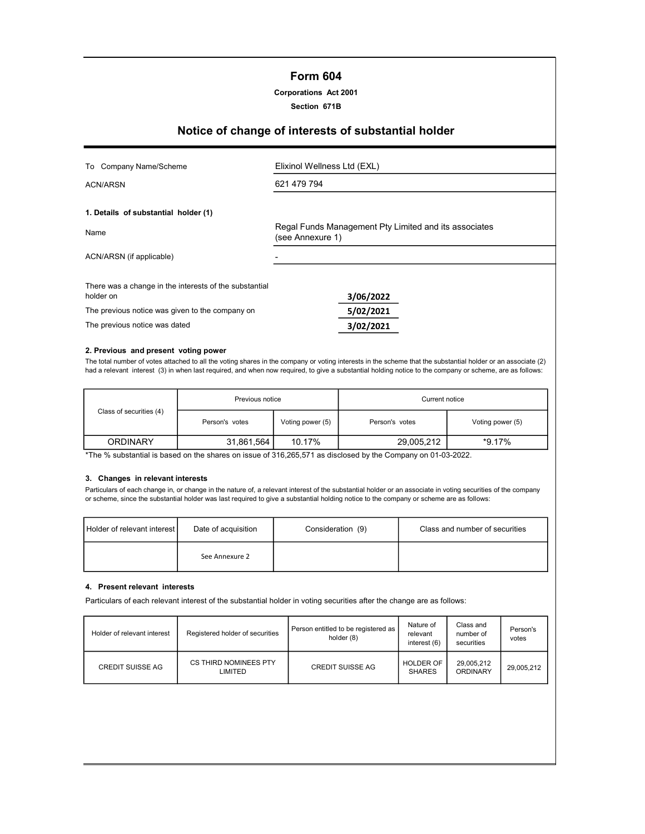# Form 604

#### Corporations Act 2001

Section 671B

# Notice of change of interests of substantial holder

| To Company Name/Scheme                                              | Elixinol Wellness Ltd (EXL)                                               |  |  |
|---------------------------------------------------------------------|---------------------------------------------------------------------------|--|--|
| ACN/ARSN                                                            | 621 479 794                                                               |  |  |
| 1. Details of substantial holder (1)                                |                                                                           |  |  |
| Name                                                                | Regal Funds Management Pty Limited and its associates<br>(see Annexure 1) |  |  |
| ACN/ARSN (if applicable)                                            |                                                                           |  |  |
| There was a change in the interests of the substantial<br>holder on | 3/06/2022                                                                 |  |  |
| The previous notice was given to the company on                     | 5/02/2021                                                                 |  |  |
| The previous notice was dated                                       | 3/02/2021                                                                 |  |  |

#### 2. Previous and present voting power

The total number of votes attached to all the voting shares in the company or voting interests in the scheme that the substantial holder or an associate (2) had a relevant interest (3) in when last required, and when now required, to give a substantial holding notice to the company or scheme, are as follows:

|                         | Previous notice |                  | Current notice |                  |  |
|-------------------------|-----------------|------------------|----------------|------------------|--|
| Class of securities (4) | Person's votes  | Voting power (5) | Person's votes | Voting power (5) |  |
| <b>ORDINARY</b>         | 31,861,564      | 10.17%           | 29,005,212     | $*9.17\%$        |  |

\*The % substantial is based on the shares on issue of 316,265,571 as disclosed by the Company on 01-03-2022.

#### 3. Changes in relevant interests

Particulars of each change in, or change in the nature of, a relevant interest of the substantial holder or an associate in voting securities of the company or scheme, since the substantial holder was last required to give a substantial holding notice to the company or scheme are as follows:

| Holder of relevant interest I | Date of acquisition | Consideration (9) | Class and number of securities |
|-------------------------------|---------------------|-------------------|--------------------------------|
|                               | See Annexure 2      |                   |                                |

#### 4. Present relevant interests

Particulars of each relevant interest of the substantial holder in voting securities after the change are as follows:

| Holder of relevant interest | Registered holder of securities  | Person entitled to be registered as<br>holder (8) | Nature of<br>relevant<br>interest (6) | Class and<br>number of<br>securities | Person's<br>votes |
|-----------------------------|----------------------------------|---------------------------------------------------|---------------------------------------|--------------------------------------|-------------------|
| <b>CREDIT SUISSE AG</b>     | CS THIRD NOMINEES PTY<br>LIMITED | <b>CREDIT SUISSE AG</b>                           | <b>HOLDER OF</b><br><b>SHARES</b>     | 29,005,212<br><b>ORDINARY</b>        | 29.005.212        |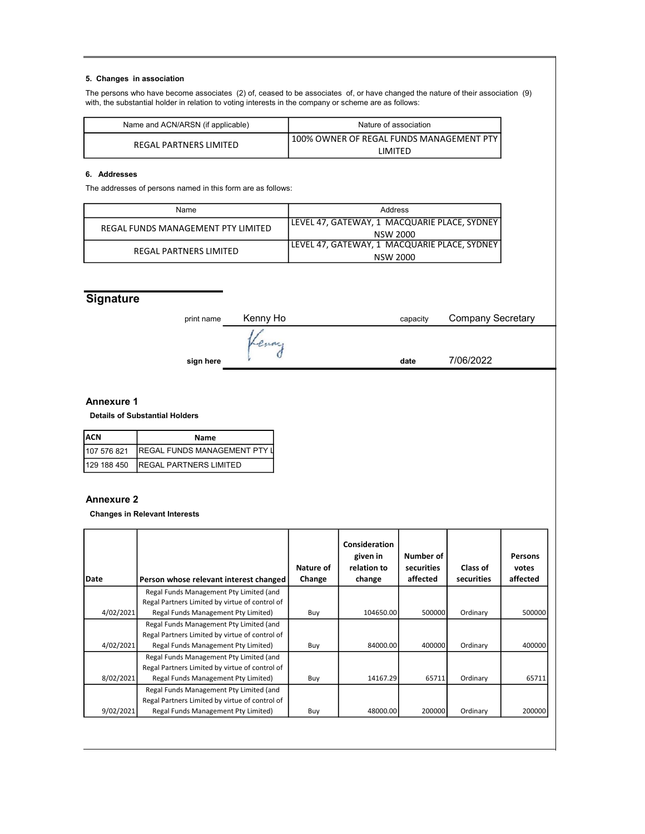#### 5. Changes in association

The persons who have become associates (2) of, ceased to be associates of, or have changed the nature of their association (9) with, the substantial holder in relation to voting interests in the company or scheme are as follows:

| Name and ACN/ARSN (if applicable) | Nature of association                    |
|-----------------------------------|------------------------------------------|
| REGAL PARTNERS LIMITED            | 100% OWNER OF REGAL FUNDS MANAGEMENT PTY |
|                                   | IMITFD                                   |

## 6. Addresses

The addresses of persons named in this form are as follows:

| Name                               | Address                                      |
|------------------------------------|----------------------------------------------|
| REGAL FUNDS MANAGEMENT PTY LIMITED | LEVEL 47, GATEWAY, 1 MACQUARIE PLACE, SYDNEY |
|                                    | NSW 2000                                     |
| REGAL PARTNERS LIMITED             | LEVEL 47, GATEWAY, 1 MACQUARIE PLACE, SYDNEY |
|                                    | NSW 2000                                     |

# **Signature**

| print name | Kenny Ho | <b>Company Secretary</b><br>capacity |           |  |
|------------|----------|--------------------------------------|-----------|--|
|            |          |                                      |           |  |
| sign here  |          | date                                 | 7/06/2022 |  |
|            |          |                                      |           |  |

## Annexure 1

Details of Substantial Holders

| IACN         | Name                                  |
|--------------|---------------------------------------|
| 107 576 821  | <b>IREGAL FUNDS MANAGEMENT PTY II</b> |
| l129 188 450 | <b>IREGAL PARTNERS LIMITED</b>        |

## Annexure 2

Changes in Relevant Interests

| Date      | Person whose relevant interest changed                                                    | Nature of<br>Change | Consideration<br>given in<br>relation to<br>change | Number of<br>securities<br>affected | Class of<br>securities | Persons<br>votes<br>affected |
|-----------|-------------------------------------------------------------------------------------------|---------------------|----------------------------------------------------|-------------------------------------|------------------------|------------------------------|
|           | Regal Funds Management Pty Limited (and                                                   |                     |                                                    |                                     |                        |                              |
| 4/02/2021 | Regal Partners Limited by virtue of control of<br>Regal Funds Management Pty Limited)     | Buy                 | 104650.00                                          | 500000                              | Ordinary               | 500000                       |
|           | Regal Funds Management Pty Limited (and<br>Regal Partners Limited by virtue of control of |                     |                                                    |                                     |                        |                              |
| 4/02/2021 | Regal Funds Management Pty Limited)                                                       | Buy                 | 84000.00                                           | 400000                              | Ordinary               | 400000                       |
|           | Regal Funds Management Pty Limited (and<br>Regal Partners Limited by virtue of control of |                     |                                                    |                                     |                        |                              |
| 8/02/2021 | Regal Funds Management Pty Limited)                                                       | Buy                 | 14167.29                                           | 65711                               | Ordinary               | 65711                        |
|           | Regal Funds Management Pty Limited (and<br>Regal Partners Limited by virtue of control of |                     |                                                    |                                     |                        |                              |
| 9/02/2021 | Regal Funds Management Pty Limited)                                                       | Buy                 | 48000.00                                           | 200000                              | Ordinary               | 200000                       |